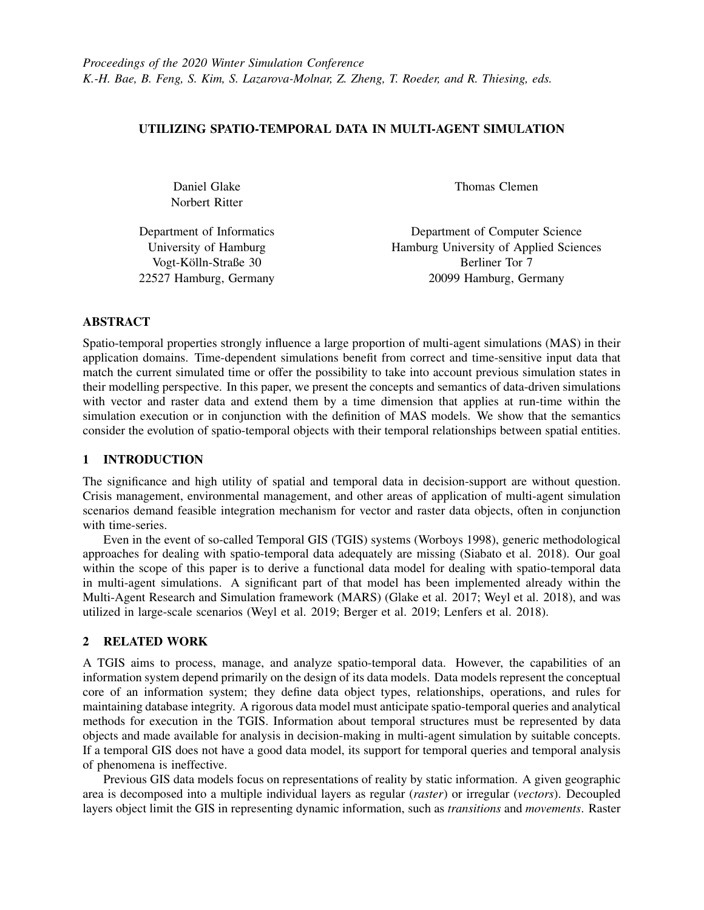# UTILIZING SPATIO-TEMPORAL DATA IN MULTI-AGENT SIMULATION

Daniel Glake Norbert Ritter

Department of Informatics University of Hamburg Vogt-Kolln-Straße 30 ¨ 22527 Hamburg, Germany Thomas Clemen

Department of Computer Science Hamburg University of Applied Sciences Berliner Tor 7 20099 Hamburg, Germany

ABSTRACT

Spatio-temporal properties strongly influence a large proportion of multi-agent simulations (MAS) in their application domains. Time-dependent simulations benefit from correct and time-sensitive input data that match the current simulated time or offer the possibility to take into account previous simulation states in their modelling perspective. In this paper, we present the concepts and semantics of data-driven simulations with vector and raster data and extend them by a time dimension that applies at run-time within the simulation execution or in conjunction with the definition of MAS models. We show that the semantics consider the evolution of spatio-temporal objects with their temporal relationships between spatial entities.

# 1 INTRODUCTION

The significance and high utility of spatial and temporal data in decision-support are without question. Crisis management, environmental management, and other areas of application of multi-agent simulation scenarios demand feasible integration mechanism for vector and raster data objects, often in conjunction with time-series.

Even in the event of so-called Temporal GIS (TGIS) systems [\(Worboys 1998\)](#page-11-0), generic methodological approaches for dealing with spatio-temporal data adequately are missing [\(Siabato et al. 2018\)](#page-11-1). Our goal within the scope of this paper is to derive a functional data model for dealing with spatio-temporal data in multi-agent simulations. A significant part of that model has been implemented already within the Multi-Agent Research and Simulation framework (MARS) [\(Glake et al. 2017;](#page-10-0) [Weyl et al. 2018\)](#page-11-2), and was utilized in large-scale scenarios [\(Weyl et al. 2019;](#page-11-3) [Berger et al. 2019;](#page-10-1) [Lenfers et al. 2018\)](#page-11-4).

# 2 RELATED WORK

A TGIS aims to process, manage, and analyze spatio-temporal data. However, the capabilities of an information system depend primarily on the design of its data models. Data models represent the conceptual core of an information system; they define data object types, relationships, operations, and rules for maintaining database integrity. A rigorous data model must anticipate spatio-temporal queries and analytical methods for execution in the TGIS. Information about temporal structures must be represented by data objects and made available for analysis in decision-making in multi-agent simulation by suitable concepts. If a temporal GIS does not have a good data model, its support for temporal queries and temporal analysis of phenomena is ineffective.

Previous GIS data models focus on representations of reality by static information. A given geographic area is decomposed into a multiple individual layers as regular (*raster*) or irregular (*vectors*). Decoupled layers object limit the GIS in representing dynamic information, such as *transitions* and *movements*. Raster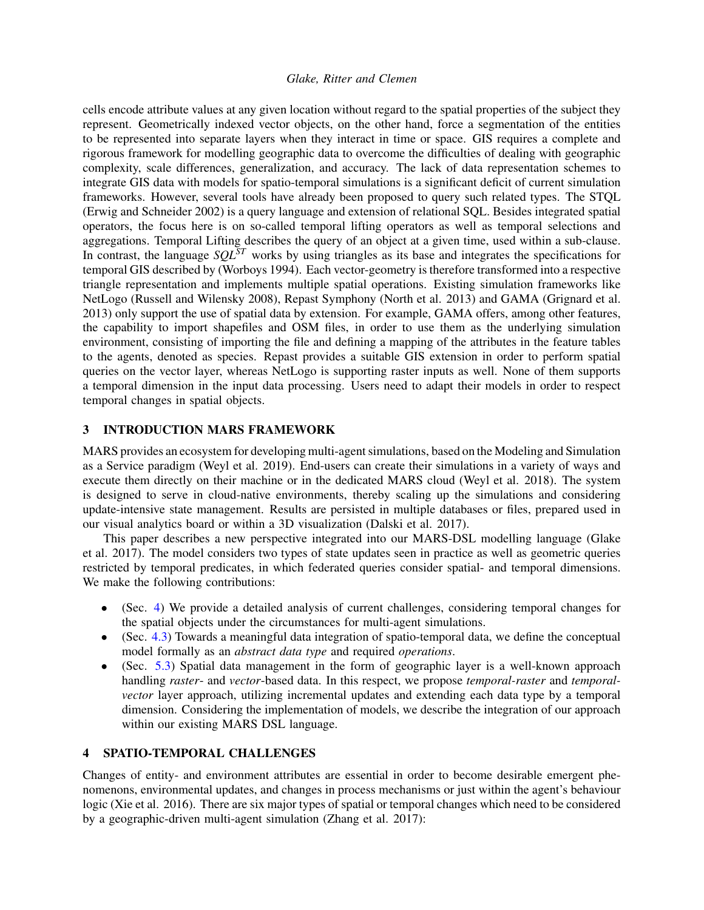cells encode attribute values at any given location without regard to the spatial properties of the subject they represent. Geometrically indexed vector objects, on the other hand, force a segmentation of the entities to be represented into separate layers when they interact in time or space. GIS requires a complete and rigorous framework for modelling geographic data to overcome the difficulties of dealing with geographic complexity, scale differences, generalization, and accuracy. The lack of data representation schemes to integrate GIS data with models for spatio-temporal simulations is a significant deficit of current simulation frameworks. However, several tools have already been proposed to query such related types. The STQL [\(Erwig and Schneider 2002\)](#page-10-2) is a query language and extension of relational SQL. Besides integrated spatial operators, the focus here is on so-called temporal lifting operators as well as temporal selections and aggregations. Temporal Lifting describes the query of an object at a given time, used within a sub-clause. In contrast, the language *SQLST* works by using triangles as its base and integrates the specifications for temporal GIS described by [\(Worboys 1994\)](#page-11-5). Each vector-geometry is therefore transformed into a respective triangle representation and implements multiple spatial operations. Existing simulation frameworks like NetLogo [\(Russell and Wilensky 2008\)](#page-11-6), Repast Symphony [\(North et al. 2013\)](#page-11-7) and GAMA [\(Grignard et al.](#page-11-8) [2013\)](#page-11-8) only support the use of spatial data by extension. For example, GAMA offers, among other features, the capability to import shapefiles and OSM files, in order to use them as the underlying simulation environment, consisting of importing the file and defining a mapping of the attributes in the feature tables to the agents, denoted as species. Repast provides a suitable GIS extension in order to perform spatial queries on the vector layer, whereas NetLogo is supporting raster inputs as well. None of them supports a temporal dimension in the input data processing. Users need to adapt their models in order to respect temporal changes in spatial objects.

# <span id="page-1-1"></span>3 INTRODUCTION MARS FRAMEWORK

MARS provides an ecosystem for developing multi-agent simulations, based on the Modeling and Simulation as a Service paradigm [\(Weyl et al. 2019\)](#page-11-3). End-users can create their simulations in a variety of ways and execute them directly on their machine or in the dedicated MARS cloud [\(Weyl et al. 2018\)](#page-11-2). The system is designed to serve in cloud-native environments, thereby scaling up the simulations and considering update-intensive state management. Results are persisted in multiple databases or files, prepared used in our visual analytics board or within a 3D visualization [\(Dalski et al. 2017\)](#page-10-3).

This paper describes a new perspective integrated into our MARS-DSL modelling language [\(Glake](#page-10-0) [et al. 2017\)](#page-10-0). The model considers two types of state updates seen in practice as well as geometric queries restricted by temporal predicates, in which federated queries consider spatial- and temporal dimensions. We make the following contributions:

- (Sec. [4\)](#page-1-0) We provide a detailed analysis of current challenges, considering temporal changes for the spatial objects under the circumstances for multi-agent simulations.
- (Sec. [4.3\)](#page-4-0) Towards a meaningful data integration of spatio-temporal data, we define the conceptual model formally as an *abstract data type* and required *operations*.
- (Sec. [5.3\)](#page-6-0) Spatial data management in the form of geographic layer is a well-known approach handling *raster*- and *vector*-based data. In this respect, we propose *temporal-raster* and *temporalvector* layer approach, utilizing incremental updates and extending each data type by a temporal dimension. Considering the implementation of models, we describe the integration of our approach within our existing MARS DSL language.

## <span id="page-1-0"></span>4 SPATIO-TEMPORAL CHALLENGES

Changes of entity- and environment attributes are essential in order to become desirable emergent phenomenons, environmental updates, and changes in process mechanisms or just within the agent's behaviour logic [\(Xie et al. 2016\)](#page-11-9). There are six major types of spatial or temporal changes which need to be considered by a geographic-driven multi-agent simulation [\(Zhang et al. 2017\)](#page-11-10):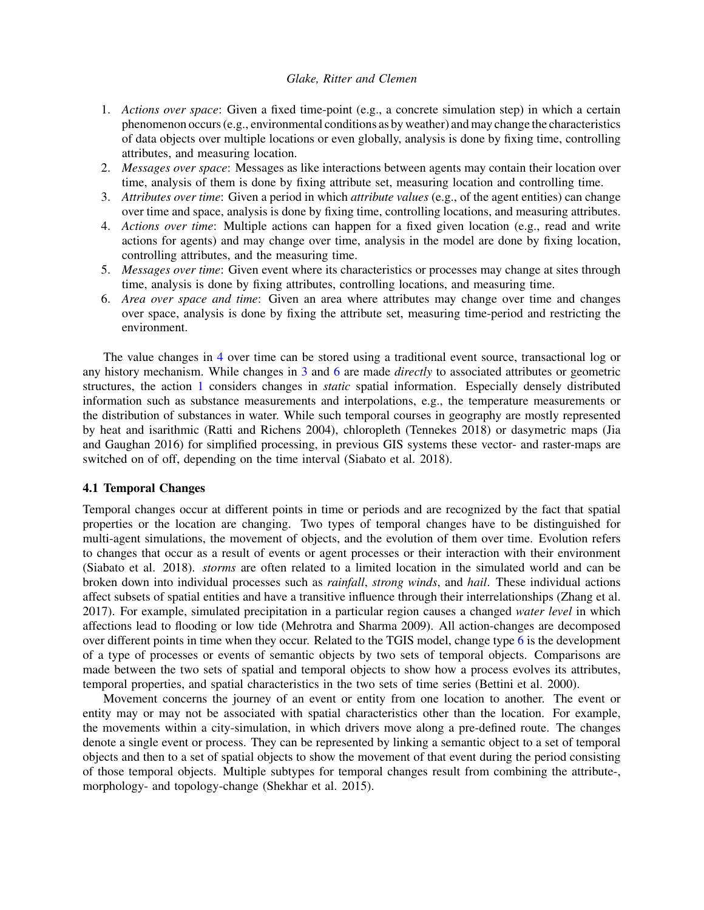- <span id="page-2-3"></span>1. *Actions over space*: Given a fixed time-point (e.g., a concrete simulation step) in which a certain phenomenon occurs (e.g., environmental conditions as by weather) and may change the characteristics of data objects over multiple locations or even globally, analysis is done by fixing time, controlling attributes, and measuring location.
- <span id="page-2-4"></span>2. *Messages over space*: Messages as like interactions between agents may contain their location over time, analysis of them is done by fixing attribute set, measuring location and controlling time.
- <span id="page-2-1"></span>3. *Attributes over time*: Given a period in which *attribute values* (e.g., of the agent entities) can change over time and space, analysis is done by fixing time, controlling locations, and measuring attributes.
- <span id="page-2-0"></span>4. *Actions over time*: Multiple actions can happen for a fixed given location (e.g., read and write actions for agents) and may change over time, analysis in the model are done by fixing location, controlling attributes, and the measuring time.
- 5. *Messages over time*: Given event where its characteristics or processes may change at sites through time, analysis is done by fixing attributes, controlling locations, and measuring time.
- <span id="page-2-2"></span>6. *Area over space and time*: Given an area where attributes may change over time and changes over space, analysis is done by fixing the attribute set, measuring time-period and restricting the environment.

The value changes in [4](#page-2-0) over time can be stored using a traditional event source, transactional log or any history mechanism. While changes in [3](#page-2-1) and [6](#page-2-2) are made *directly* to associated attributes or geometric structures, the action [1](#page-2-3) considers changes in *static* spatial information. Especially densely distributed information such as substance measurements and interpolations, e.g., the temperature measurements or the distribution of substances in water. While such temporal courses in geography are mostly represented by heat and isarithmic [\(Ratti and Richens 2004\)](#page-11-11), chloropleth [\(Tennekes 2018\)](#page-11-12) or dasymetric maps [\(Jia](#page-11-13) [and Gaughan 2016\)](#page-11-13) for simplified processing, in previous GIS systems these vector- and raster-maps are switched on of off, depending on the time interval [\(Siabato et al. 2018\)](#page-11-1).

### 4.1 Temporal Changes

Temporal changes occur at different points in time or periods and are recognized by the fact that spatial properties or the location are changing. Two types of temporal changes have to be distinguished for multi-agent simulations, the movement of objects, and the evolution of them over time. Evolution refers to changes that occur as a result of events or agent processes or their interaction with their environment [\(Siabato et al. 2018\)](#page-11-1). *storms* are often related to a limited location in the simulated world and can be broken down into individual processes such as *rainfall*, *strong winds*, and *hail*. These individual actions affect subsets of spatial entities and have a transitive influence through their interrelationships [\(Zhang et al.](#page-11-10) [2017\)](#page-11-10). For example, simulated precipitation in a particular region causes a changed *water level* in which affections lead to flooding or low tide [\(Mehrotra and Sharma 2009\)](#page-11-14). All action-changes are decomposed over different points in time when they occur. Related to the TGIS model, change type [6](#page-2-2) is the development of a type of processes or events of semantic objects by two sets of temporal objects. Comparisons are made between the two sets of spatial and temporal objects to show how a process evolves its attributes, temporal properties, and spatial characteristics in the two sets of time series [\(Bettini et al. 2000\)](#page-10-4).

Movement concerns the journey of an event or entity from one location to another. The event or entity may or may not be associated with spatial characteristics other than the location. For example, the movements within a city-simulation, in which drivers move along a pre-defined route. The changes denote a single event or process. They can be represented by linking a semantic object to a set of temporal objects and then to a set of spatial objects to show the movement of that event during the period consisting of those temporal objects. Multiple subtypes for temporal changes result from combining the attribute-, morphology- and topology-change [\(Shekhar et al. 2015\)](#page-11-15).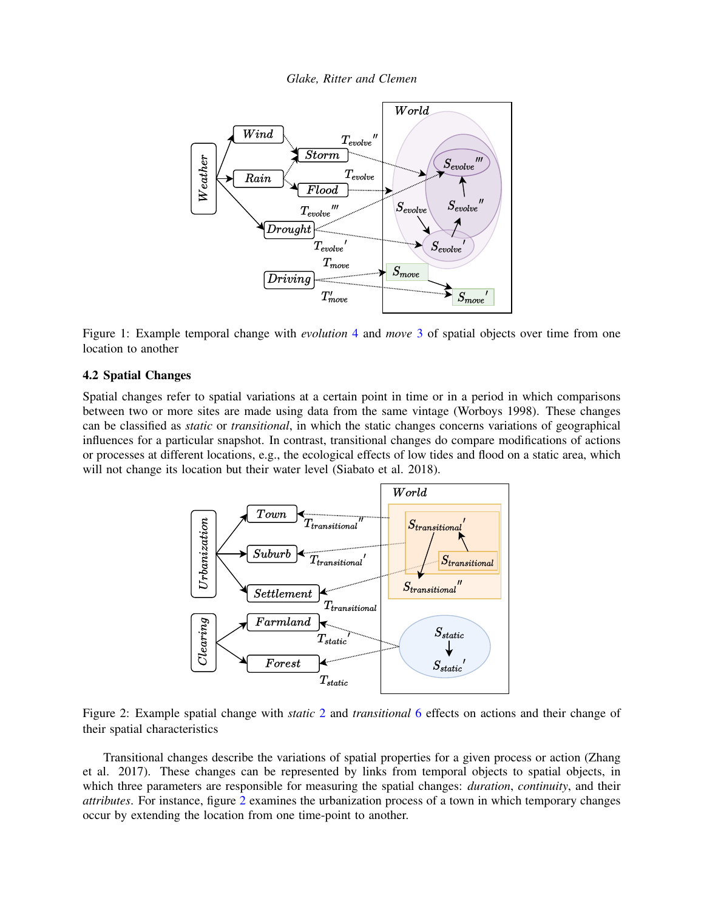*Glake, Ritter and Clemen*



<span id="page-3-1"></span>Figure 1: Example temporal change with *evolution* [4](#page-2-0) and *move* [3](#page-2-1) of spatial objects over time from one location to another

## 4.2 Spatial Changes

Spatial changes refer to spatial variations at a certain point in time or in a period in which comparisons between two or more sites are made using data from the same vintage [\(Worboys 1998\)](#page-11-0). These changes can be classified as *static* or *transitional*, in which the static changes concerns variations of geographical influences for a particular snapshot. In contrast, transitional changes do compare modifications of actions or processes at different locations, e.g., the ecological effects of low tides and flood on a static area, which will not change its location but their water level [\(Siabato et al. 2018\)](#page-11-1).



<span id="page-3-0"></span>Figure 2: Example spatial change with *static* [2](#page-2-4) and *transitional* [6](#page-2-2) effects on actions and their change of their spatial characteristics

Transitional changes describe the variations of spatial properties for a given process or action [\(Zhang](#page-11-10) [et al. 2017\)](#page-11-10). These changes can be represented by links from temporal objects to spatial objects, in which three parameters are responsible for measuring the spatial changes: *duration*, *continuity*, and their *attributes*. For instance, figure [2](#page-3-0) examines the urbanization process of a town in which temporary changes occur by extending the location from one time-point to another.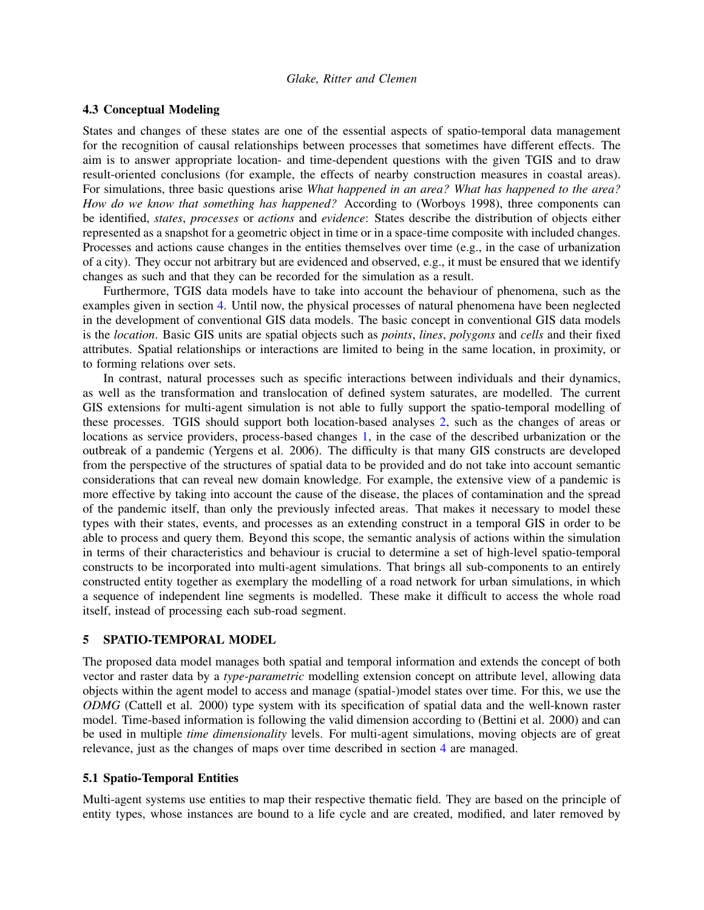## <span id="page-4-0"></span>4.3 Conceptual Modeling

States and changes of these states are one of the essential aspects of spatio-temporal data management for the recognition of causal relationships between processes that sometimes have different effects. The aim is to answer appropriate location- and time-dependent questions with the given TGIS and to draw result-oriented conclusions (for example, the effects of nearby construction measures in coastal areas). For simulations, three basic questions arise *What happened in an area? What has happened to the area? How do we know that something has happened?* According to [\(Worboys 1998\)](#page-11-0), three components can be identified, *states*, *processes* or *actions* and *evidence*: States describe the distribution of objects either represented as a snapshot for a geometric object in time or in a space-time composite with included changes. Processes and actions cause changes in the entities themselves over time (e.g., in the case of urbanization of a city). They occur not arbitrary but are evidenced and observed, e.g., it must be ensured that we identify changes as such and that they can be recorded for the simulation as a result.

Furthermore, TGIS data models have to take into account the behaviour of phenomena, such as the examples given in section [4.](#page-1-0) Until now, the physical processes of natural phenomena have been neglected in the development of conventional GIS data models. The basic concept in conventional GIS data models is the *location*. Basic GIS units are spatial objects such as *points*, *lines*, *polygons* and *cells* and their fixed attributes. Spatial relationships or interactions are limited to being in the same location, in proximity, or to forming relations over sets.

In contrast, natural processes such as specific interactions between individuals and their dynamics, as well as the transformation and translocation of defined system saturates, are modelled. The current GIS extensions for multi-agent simulation is not able to fully support the spatio-temporal modelling of these processes. TGIS should support both location-based analyses [2,](#page-3-0) such as the changes of areas or locations as service providers, process-based changes [1,](#page-3-1) in the case of the described urbanization or the outbreak of a pandemic [\(Yergens et al. 2006\)](#page-11-16). The difficulty is that many GIS constructs are developed from the perspective of the structures of spatial data to be provided and do not take into account semantic considerations that can reveal new domain knowledge. For example, the extensive view of a pandemic is more effective by taking into account the cause of the disease, the places of contamination and the spread of the pandemic itself, than only the previously infected areas. That makes it necessary to model these types with their states, events, and processes as an extending construct in a temporal GIS in order to be able to process and query them. Beyond this scope, the semantic analysis of actions within the simulation in terms of their characteristics and behaviour is crucial to determine a set of high-level spatio-temporal constructs to be incorporated into multi-agent simulations. That brings all sub-components to an entirely constructed entity together as exemplary the modelling of a road network for urban simulations, in which a sequence of independent line segments is modelled. These make it difficult to access the whole road itself, instead of processing each sub-road segment.

### 5 SPATIO-TEMPORAL MODEL

The proposed data model manages both spatial and temporal information and extends the concept of both vector and raster data by a *type-parametric* modelling extension concept on attribute level, allowing data objects within the agent model to access and manage (spatial-)model states over time. For this, we use the *ODMG* [\(Cattell et al. 2000\)](#page-10-5) type system with its specification of spatial data and the well-known raster model. Time-based information is following the valid dimension according to [\(Bettini et al. 2000\)](#page-10-4) and can be used in multiple *time dimensionality* levels. For multi-agent simulations, moving objects are of great relevance, just as the changes of maps over time described in section [4](#page-1-0) are managed.

### <span id="page-4-1"></span>5.1 Spatio-Temporal Entities

Multi-agent systems use entities to map their respective thematic field. They are based on the principle of entity types, whose instances are bound to a life cycle and are created, modified, and later removed by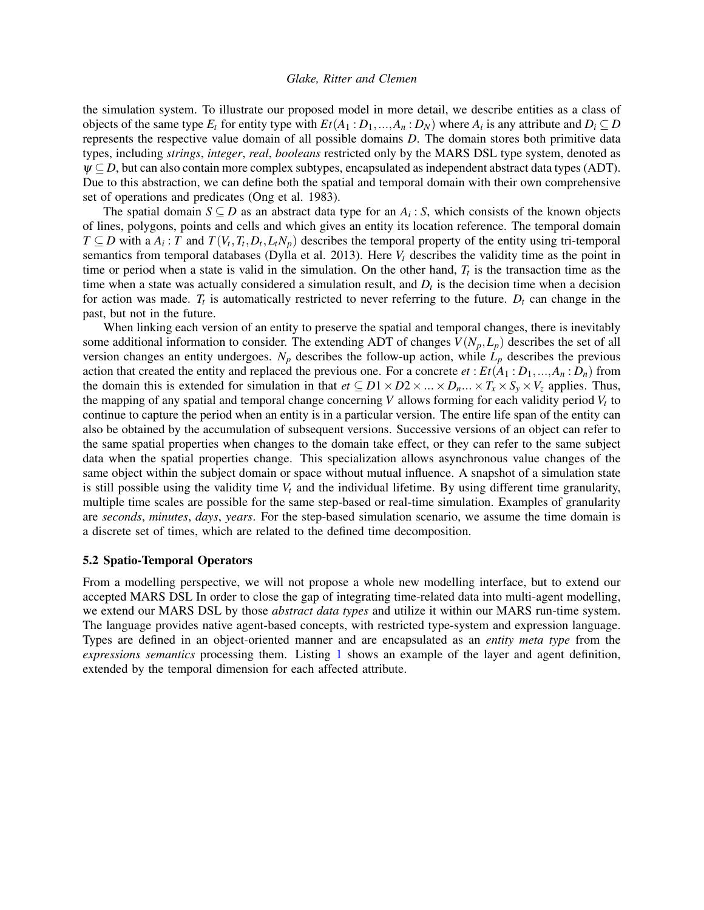the simulation system. To illustrate our proposed model in more detail, we describe entities as a class of objects of the same type  $E_t$  for entity type with  $Et(A_1 : D_1, ..., A_n : D_N)$  where  $A_i$  is any attribute and  $D_i \subseteq D$ represents the respective value domain of all possible domains *D*. The domain stores both primitive data types, including *strings*, *integer*, *real*, *booleans* restricted only by the MARS DSL type system, denoted as  $\psi \subseteq D$ , but can also contain more complex subtypes, encapsulated as independent abstract data types (ADT). Due to this abstraction, we can define both the spatial and temporal domain with their own comprehensive set of operations and predicates [\(Ong et al. 1983\)](#page-11-17).

The spatial domain  $S \subseteq D$  as an abstract data type for an  $A_i : S$ , which consists of the known objects of lines, polygons, points and cells and which gives an entity its location reference. The temporal domain *T* ⊆ *D* with a  $A_i$ : *T* and  $T(V_t, T_t, D_t, L_tN_p)$  describes the temporal property of the entity using tri-temporal semantics from temporal databases [\(Dylla et al. 2013\)](#page-10-6). Here  $V_t$  describes the validity time as the point in time or period when a state is valid in the simulation. On the other hand,  $T_t$  is the transaction time as the time when a state was actually considered a simulation result, and  $D_t$  is the decision time when a decision for action was made.  $T_t$  is automatically restricted to never referring to the future.  $D_t$  can change in the past, but not in the future.

When linking each version of an entity to preserve the spatial and temporal changes, there is inevitably some additional information to consider. The extending ADT of changes  $V(N_p, L_p)$  describes the set of all version changes an entity undergoes.  $N_p$  describes the follow-up action, while  $L_p$  describes the previous action that created the entity and replaced the previous one. For a concrete  $et: Et(A_1 : D_1, ..., A_n : D_n)$  from the domain this is extended for simulation in that  $et \subseteq D1 \times D2 \times ... \times D_n ... \times T_x \times S_y \times V_z$  applies. Thus, the mapping of any spatial and temporal change concerning *V* allows forming for each validity period *V<sup>t</sup>* to continue to capture the period when an entity is in a particular version. The entire life span of the entity can also be obtained by the accumulation of subsequent versions. Successive versions of an object can refer to the same spatial properties when changes to the domain take effect, or they can refer to the same subject data when the spatial properties change. This specialization allows asynchronous value changes of the same object within the subject domain or space without mutual influence. A snapshot of a simulation state is still possible using the validity time  $V_t$  and the individual lifetime. By using different time granularity, multiple time scales are possible for the same step-based or real-time simulation. Examples of granularity are *seconds*, *minutes*, *days*, *years*. For the step-based simulation scenario, we assume the time domain is a discrete set of times, which are related to the defined time decomposition.

#### 5.2 Spatio-Temporal Operators

From a modelling perspective, we will not propose a whole new modelling interface, but to extend our accepted MARS DSL In order to close the gap of integrating time-related data into multi-agent modelling, we extend our MARS DSL by those *abstract data types* and utilize it within our MARS run-time system. The language provides native agent-based concepts, with restricted type-system and expression language. Types are defined in an object-oriented manner and are encapsulated as an *entity meta type* from the *expressions semantics* processing them. Listing [1](#page-6-1) shows an example of the layer and agent definition, extended by the temporal dimension for each affected attribute.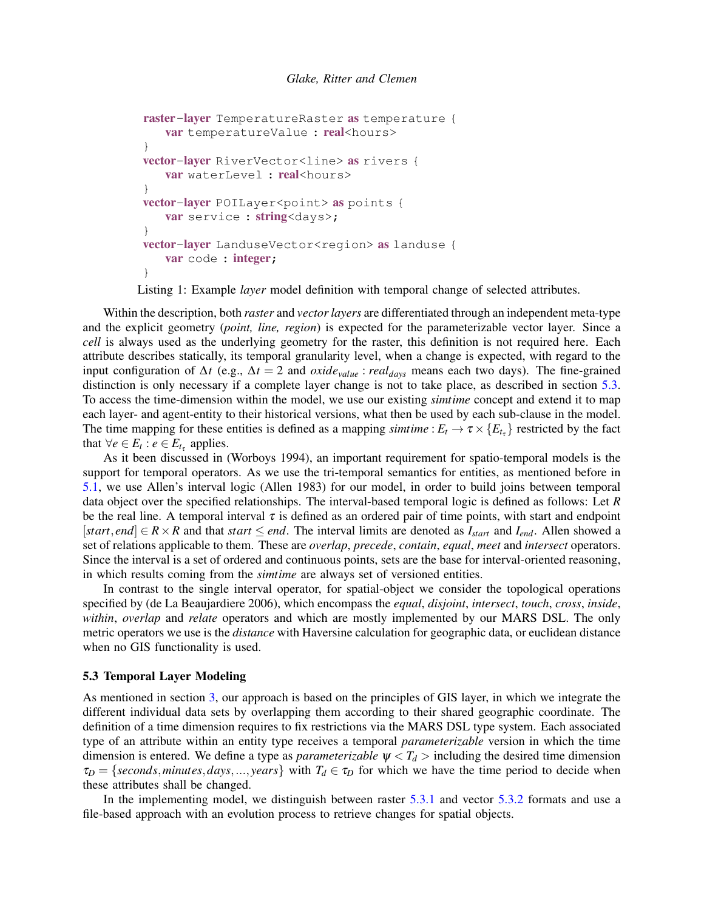```
raster-layer TemperatureRaster as temperature {
   var temperatureValue : real<hours>
}
vector-layer RiverVector<line> as rivers {
   var waterLevel : real<hours>
}
vector-layer POILayer<point> as points {
   var service : string<days>;
}
vector-layer LanduseVector<region> as landuse {
   var code : integer;
}
```
Listing 1: Example *layer* model definition with temporal change of selected attributes.

Within the description, both *raster* and *vector layers* are differentiated through an independent meta-type and the explicit geometry (*point, line, region*) is expected for the parameterizable vector layer. Since a *cell* is always used as the underlying geometry for the raster, this definition is not required here. Each attribute describes statically, its temporal granularity level, when a change is expected, with regard to the input configuration of ∆*t* (e.g., ∆*t* = 2 and *oxidevalue* : *realdays* means each two days). The fine-grained distinction is only necessary if a complete layer change is not to take place, as described in section [5.3.](#page-6-0) To access the time-dimension within the model, we use our existing *simtime* concept and extend it to map each layer- and agent-entity to their historical versions, what then be used by each sub-clause in the model. The time mapping for these entities is defined as a mapping *simtime* :  $E_t \to \tau \times \{E_{t_\tau}\}\)$  restricted by the fact that  $\forall e \in E_t : e \in E_{t_\tau}$  applies.

As it been discussed in [\(Worboys 1994\)](#page-11-5), an important requirement for spatio-temporal models is the support for temporal operators. As we use the tri-temporal semantics for entities, as mentioned before in [5.1,](#page-4-1) we use Allen's interval logic [\(Allen 1983\)](#page-10-7) for our model, in order to build joins between temporal data object over the specified relationships. The interval-based temporal logic is defined as follows: Let *R* be the real line. A temporal interval  $\tau$  is defined as an ordered pair of time points, with start and endpoint [*start*, *end*]  $\in$  *R* × *R* and that *start*  $\le$  *end*. The interval limits are denoted as  $I_{start}$  and  $I_{end}$ . Allen showed a set of relations applicable to them. These are *overlap*, *precede*, *contain*, *equal*, *meet* and *intersect* operators. Since the interval is a set of ordered and continuous points, sets are the base for interval-oriented reasoning, in which results coming from the *simtime* are always set of versioned entities.

In contrast to the single interval operator, for spatial-object we consider the topological operations specified by [\(de La Beaujardiere 2006\)](#page-10-8), which encompass the *equal*, *disjoint*, *intersect*, *touch*, *cross*, *inside*, *within*, *overlap* and *relate* operators and which are mostly implemented by our MARS DSL. The only metric operators we use is the *distance* with Haversine calculation for geographic data, or euclidean distance when no GIS functionality is used.

### <span id="page-6-0"></span>5.3 Temporal Layer Modeling

As mentioned in section [3,](#page-1-1) our approach is based on the principles of GIS layer, in which we integrate the different individual data sets by overlapping them according to their shared geographic coordinate. The definition of a time dimension requires to fix restrictions via the MARS DSL type system. Each associated type of an attribute within an entity type receives a temporal *parameterizable* version in which the time dimension is entered. We define a type as *parameterizable*  $\psi < T_d$  > including the desired time dimension  $\tau_D = \{seconds, minutes, days, ..., years\}$  with  $T_d \in \tau_D$  for which we have the time period to decide when these attributes shall be changed.

In the implementing model, we distinguish between raster [5.3.1](#page-7-0) and vector [5.3.2](#page-8-0) formats and use a file-based approach with an evolution process to retrieve changes for spatial objects.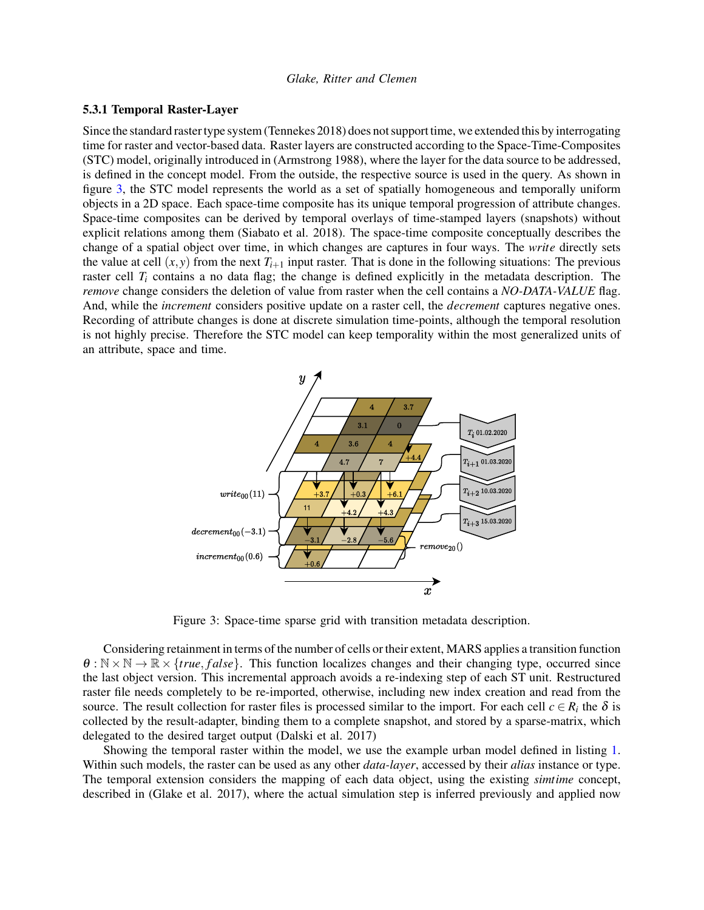## <span id="page-7-0"></span>5.3.1 Temporal Raster-Layer

Since the standard raster type system [\(Tennekes 2018\)](#page-11-12) does not support time, we extended this by interrogating time for raster and vector-based data. Raster layers are constructed according to the Space-Time-Composites (STC) model, originally introduced in [\(Armstrong 1988\)](#page-10-9), where the layer for the data source to be addressed, is defined in the concept model. From the outside, the respective source is used in the query. As shown in figure [3,](#page-7-1) the STC model represents the world as a set of spatially homogeneous and temporally uniform objects in a 2D space. Each space-time composite has its unique temporal progression of attribute changes. Space-time composites can be derived by temporal overlays of time-stamped layers (snapshots) without explicit relations among them [\(Siabato et al. 2018\)](#page-11-1). The space-time composite conceptually describes the change of a spatial object over time, in which changes are captures in four ways. The *write* directly sets the value at cell  $(x, y)$  from the next  $T_{i+1}$  input raster. That is done in the following situations: The previous raster cell  $T_i$  contains a no data flag; the change is defined explicitly in the metadata description. The *remove* change considers the deletion of value from raster when the cell contains a *NO-DATA-VALUE* flag. And, while the *increment* considers positive update on a raster cell, the *decrement* captures negative ones. Recording of attribute changes is done at discrete simulation time-points, although the temporal resolution is not highly precise. Therefore the STC model can keep temporality within the most generalized units of an attribute, space and time.



<span id="page-7-1"></span>Figure 3: Space-time sparse grid with transition metadata description.

Considering retainment in terms of the number of cells or their extent, MARS applies a transition function  $\theta : \mathbb{N} \times \mathbb{N} \to \mathbb{R} \times \{true, false\}$ . This function localizes changes and their changing type, occurred since the last object version. This incremental approach avoids a re-indexing step of each ST unit. Restructured raster file needs completely to be re-imported, otherwise, including new index creation and read from the source. The result collection for raster files is processed similar to the import. For each cell  $c \in R_i$  the  $\delta$  is collected by the result-adapter, binding them to a complete snapshot, and stored by a sparse-matrix, which delegated to the desired target output [\(Dalski et al. 2017\)](#page-10-3)

Showing the temporal raster within the model, we use the example urban model defined in listing [1.](#page-6-1) Within such models, the raster can be used as any other *data-layer*, accessed by their *alias* instance or type. The temporal extension considers the mapping of each data object, using the existing *simtime* concept, described in [\(Glake et al. 2017\)](#page-10-0), where the actual simulation step is inferred previously and applied now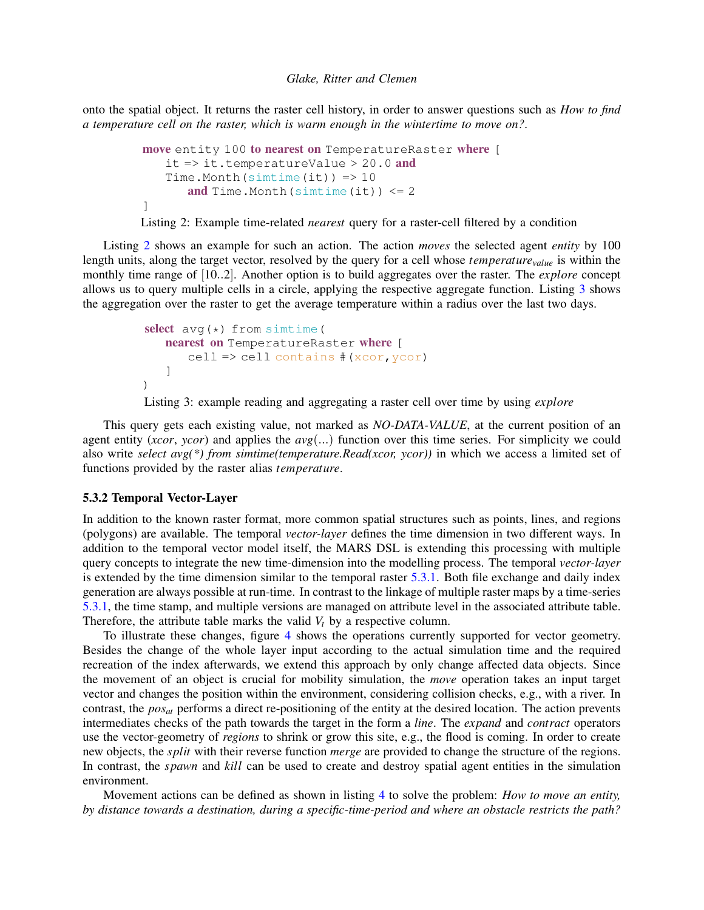onto the spatial object. It returns the raster cell history, in order to answer questions such as *How to find a temperature cell on the raster, which is warm enough in the wintertime to move on?*.

```
move entity 100 to nearest on TemperatureRaster where [
   it \Rightarrow it.temperatureValue > 20.0 and
   Time.Month(simtime(it)) => 10and Time. Month (simtime(it)) \leq 2]
```
Listing 2: Example time-related *nearest* query for a raster-cell filtered by a condition

Listing [2](#page-8-1) shows an example for such an action. The action *moves* the selected agent *entity* by 100 length units, along the target vector, resolved by the query for a cell whose *temperaturevalue* is within the monthly time range of [10..2]. Another option is to build aggregates over the raster. The *explore* concept allows us to query multiple cells in a circle, applying the respective aggregate function. Listing [3](#page-8-2) shows the aggregation over the raster to get the average temperature within a radius over the last two days.

```
select avg(*) from simtime (
   nearest on TemperatureRaster where [
      cell => cell contains #(xcor,ycor)
   ]
)
```
Listing 3: example reading and aggregating a raster cell over time by using *explore*

This query gets each existing value, not marked as *NO-DATA-VALUE*, at the current position of an agent entity (*xcor*, *ycor*) and applies the *avg*(...) function over this time series. For simplicity we could also write *select avg(\*) from simtime(temperature.Read(xcor, ycor))* in which we access a limited set of functions provided by the raster alias *temperature*.

## <span id="page-8-0"></span>5.3.2 Temporal Vector-Layer

In addition to the known raster format, more common spatial structures such as points, lines, and regions (polygons) are available. The temporal *vector-layer* defines the time dimension in two different ways. In addition to the temporal vector model itself, the MARS DSL is extending this processing with multiple query concepts to integrate the new time-dimension into the modelling process. The temporal *vector-layer* is extended by the time dimension similar to the temporal raster [5.3.1.](#page-7-0) Both file exchange and daily index generation are always possible at run-time. In contrast to the linkage of multiple raster maps by a time-series [5.3.1,](#page-7-0) the time stamp, and multiple versions are managed on attribute level in the associated attribute table. Therefore, the attribute table marks the valid *V<sup>t</sup>* by a respective column.

To illustrate these changes, figure [4](#page-9-0) shows the operations currently supported for vector geometry. Besides the change of the whole layer input according to the actual simulation time and the required recreation of the index afterwards, we extend this approach by only change affected data objects. Since the movement of an object is crucial for mobility simulation, the *move* operation takes an input target vector and changes the position within the environment, considering collision checks, e.g., with a river. In contrast, the *posat* performs a direct re-positioning of the entity at the desired location. The action prevents intermediates checks of the path towards the target in the form a *line*. The *expand* and *contract* operators use the vector-geometry of *regions* to shrink or grow this site, e.g., the flood is coming. In order to create new objects, the *split* with their reverse function *merge* are provided to change the structure of the regions. In contrast, the *spawn* and *kill* can be used to create and destroy spatial agent entities in the simulation environment.

Movement actions can be defined as shown in listing [4](#page-9-1) to solve the problem: *How to move an entity, by distance towards a destination, during a specific-time-period and where an obstacle restricts the path?*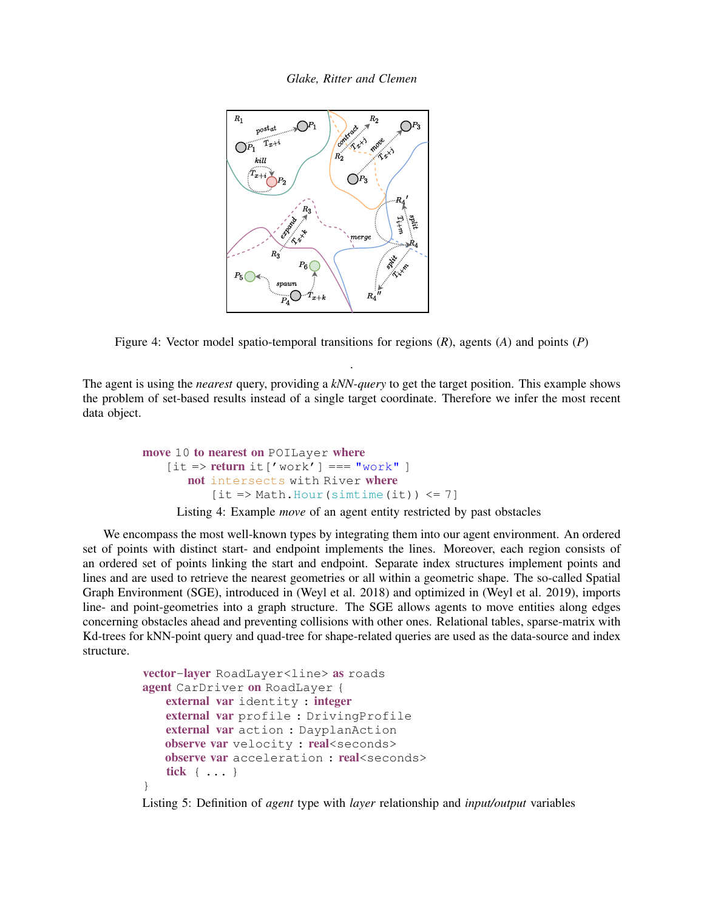

<span id="page-9-0"></span>Figure 4: Vector model spatio-temporal transitions for regions (*R*), agents (*A*) and points (*P*)

.

The agent is using the *nearest* query, providing a *kNN-query* to get the target position. This example shows the problem of set-based results instead of a single target coordinate. Therefore we infer the most recent data object.

```
move 10 to nearest on POILayer where
    [it \Rightarrow return it['work'] == "work"]not intersects with River where
           [it \Rightarrow Math.Hour(sintime(it)) \leq 7]
```
Listing 4: Example *move* of an agent entity restricted by past obstacles

We encompass the most well-known types by integrating them into our agent environment. An ordered set of points with distinct start- and endpoint implements the lines. Moreover, each region consists of an ordered set of points linking the start and endpoint. Separate index structures implement points and lines and are used to retrieve the nearest geometries or all within a geometric shape. The so-called Spatial Graph Environment (SGE), introduced in [\(Weyl et al. 2018\)](#page-11-2) and optimized in [\(Weyl et al. 2019\)](#page-11-3), imports line- and point-geometries into a graph structure. The SGE allows agents to move entities along edges concerning obstacles ahead and preventing collisions with other ones. Relational tables, sparse-matrix with Kd-trees for kNN-point query and quad-tree for shape-related queries are used as the data-source and index structure.

```
vector-layer RoadLayer<line> as roads
agent CarDriver on RoadLayer {
   external var identity : integer
   external var profile : DrivingProfile
   external var action : DayplanAction
   observe var velocity : real<seconds>
   observe var acceleration : real<seconds>
   tick { ... }
}
```
Listing 5: Definition of *agent* type with *layer* relationship and *input/output* variables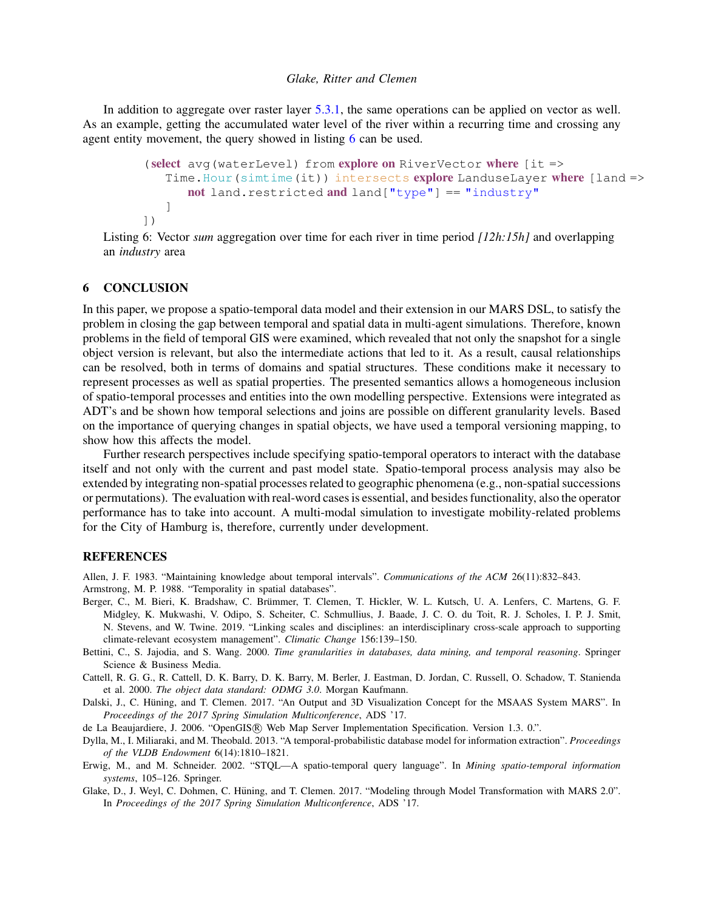In addition to aggregate over raster layer [5.3.1,](#page-7-0) the same operations can be applied on vector as well. As an example, getting the accumulated water level of the river within a recurring time and crossing any agent entity movement, the query showed in listing [6](#page-10-10) can be used.

```
(select avg(waterLevel) from explore on RiverVector where [it =>
   Time. Hour (simtime(it)) intersects explore LanduseLayer where [land =>
      not land.restricted and land ["type"] == "industry"]
])
```
Listing 6: Vector *sum* aggregation over time for each river in time period *[12h:15h]* and overlapping an *industry* area

### 6 CONCLUSION

In this paper, we propose a spatio-temporal data model and their extension in our MARS DSL, to satisfy the problem in closing the gap between temporal and spatial data in multi-agent simulations. Therefore, known problems in the field of temporal GIS were examined, which revealed that not only the snapshot for a single object version is relevant, but also the intermediate actions that led to it. As a result, causal relationships can be resolved, both in terms of domains and spatial structures. These conditions make it necessary to represent processes as well as spatial properties. The presented semantics allows a homogeneous inclusion of spatio-temporal processes and entities into the own modelling perspective. Extensions were integrated as ADT's and be shown how temporal selections and joins are possible on different granularity levels. Based on the importance of querying changes in spatial objects, we have used a temporal versioning mapping, to show how this affects the model.

Further research perspectives include specifying spatio-temporal operators to interact with the database itself and not only with the current and past model state. Spatio-temporal process analysis may also be extended by integrating non-spatial processes related to geographic phenomena (e.g., non-spatial successions or permutations). The evaluation with real-word cases is essential, and besides functionality, also the operator performance has to take into account. A multi-modal simulation to investigate mobility-related problems for the City of Hamburg is, therefore, currently under development.

## REFERENCES

<span id="page-10-9"></span><span id="page-10-7"></span>Allen, J. F. 1983. "Maintaining knowledge about temporal intervals". *Communications of the ACM* 26(11):832–843. Armstrong, M. P. 1988. "Temporality in spatial databases".

- <span id="page-10-1"></span>Berger, C., M. Bieri, K. Bradshaw, C. Brümmer, T. Clemen, T. Hickler, W. L. Kutsch, U. A. Lenfers, C. Martens, G. F. Midgley, K. Mukwashi, V. Odipo, S. Scheiter, C. Schmullius, J. Baade, J. C. O. du Toit, R. J. Scholes, I. P. J. Smit, N. Stevens, and W. Twine. 2019. "Linking scales and disciplines: an interdisciplinary cross-scale approach to supporting climate-relevant ecosystem management". *Climatic Change* 156:139–150.
- <span id="page-10-4"></span>Bettini, C., S. Jajodia, and S. Wang. 2000. *Time granularities in databases, data mining, and temporal reasoning*. Springer Science & Business Media.

<span id="page-10-5"></span>Cattell, R. G. G., R. Cattell, D. K. Barry, D. K. Barry, M. Berler, J. Eastman, D. Jordan, C. Russell, O. Schadow, T. Stanienda et al. 2000. *The object data standard: ODMG 3.0*. Morgan Kaufmann.

<span id="page-10-3"></span>Dalski, J., C. Hüning, and T. Clemen. 2017. "An Output and 3D Visualization Concept for the MSAAS System MARS". In *Proceedings of the 2017 Spring Simulation Multiconference*, ADS '17.

<span id="page-10-8"></span>de La Beaujardiere, J. 2006. "OpenGIS®, Web Map Server Implementation Specification. Version 1.3. 0.".

- <span id="page-10-6"></span>Dylla, M., I. Miliaraki, and M. Theobald. 2013. "A temporal-probabilistic database model for information extraction". *Proceedings of the VLDB Endowment* 6(14):1810–1821.
- <span id="page-10-2"></span>Erwig, M., and M. Schneider. 2002. "STQL—A spatio-temporal query language". In *Mining spatio-temporal information systems*, 105–126. Springer.
- <span id="page-10-0"></span>Glake, D., J. Weyl, C. Dohmen, C. Hüning, and T. Clemen. 2017. "Modeling through Model Transformation with MARS 2.0". In *Proceedings of the 2017 Spring Simulation Multiconference*, ADS '17.